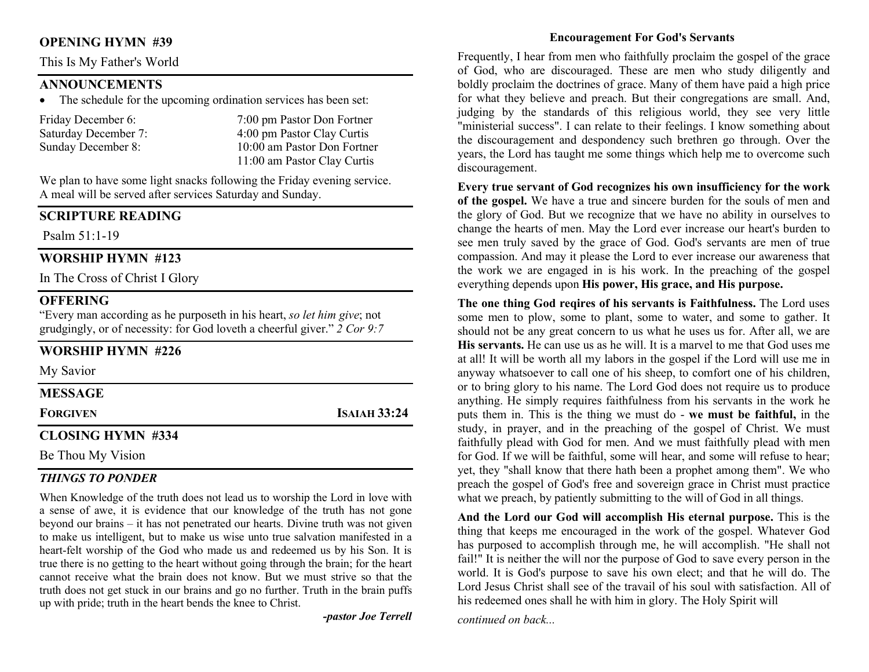### OPENING HYMN #39

This Is My Father's World

### ANNOUNCEMENTS

The schedule for the upcoming ordination services has been set:

| Friday December 6:   | 7:00 pm Pastor Don Fortner  |
|----------------------|-----------------------------|
| Saturday December 7: | 4:00 pm Pastor Clay Curtis  |
| Sunday December 8:   | 10:00 am Pastor Don Fortner |
|                      | 11:00 am Pastor Clay Curtis |

We plan to have some light snacks following the Friday evening service. A meal will be served after services Saturday and Sunday.

## SCRIPTURE READING

Psalm 51:1-19

## WORSHIP HYMN #123

In The Cross of Christ I Glory

# **OFFERING**

"Every man according as he purposeth in his heart, so let him give; not grudgingly, or of necessity: for God loveth a cheerful giver." 2 Cor 9:7

# WORSHIP HYMN #226

My Savior

MESSAGE

FORGIVEN **ISAIAH 33:24** 

# CLOSING HYMN #334

Be Thou My Vision

# THINGS TO PONDER

When Knowledge of the truth does not lead us to worship the Lord in love with a sense of awe, it is evidence that our knowledge of the truth has not gone beyond our brains – it has not penetrated our hearts. Divine truth was not given to make us intelligent, but to make us wise unto true salvation manifested in a heart-felt worship of the God who made us and redeemed us by his Son. It is true there is no getting to the heart without going through the brain; for the heart cannot receive what the brain does not know. But we must strive so that the truth does not get stuck in our brains and go no further. Truth in the brain puffs up with pride; truth in the heart bends the knee to Christ.

-pastor Joe Terrell

#### Encouragement For God's Servants

Frequently, I hear from men who faithfully proclaim the gospel of the grace of God, who are discouraged. These are men who study diligently and boldly proclaim the doctrines of grace. Many of them have paid a high price for what they believe and preach. But their congregations are small. And, judging by the standards of this religious world, they see very little "ministerial success". I can relate to their feelings. I know something about the discouragement and despondency such brethren go through. Over the years, the Lord has taught me some things which help me to overcome such discouragement.

Every true servant of God recognizes his own insufficiency for the work of the gospel. We have a true and sincere burden for the souls of men and the glory of God. But we recognize that we have no ability in ourselves to change the hearts of men. May the Lord ever increase our heart's burden to see men truly saved by the grace of God. God's servants are men of true compassion. And may it please the Lord to ever increase our awareness that the work we are engaged in is his work. In the preaching of the gospel everything depends upon His power, His grace, and His purpose.

The one thing God reqires of his servants is Faithfulness. The Lord uses some men to plow, some to plant, some to water, and some to gather. It should not be any great concern to us what he uses us for. After all, we are His servants. He can use us as he will. It is a marvel to me that God uses me at all! It will be worth all my labors in the gospel if the Lord will use me in anyway whatsoever to call one of his sheep, to comfort one of his children, or to bring glory to his name. The Lord God does not require us to produce anything. He simply requires faithfulness from his servants in the work he puts them in. This is the thing we must do - we must be faithful, in the study, in prayer, and in the preaching of the gospel of Christ. We must faithfully plead with God for men. And we must faithfully plead with men for God. If we will be faithful, some will hear, and some will refuse to hear; yet, they "shall know that there hath been a prophet among them". We who preach the gospel of God's free and sovereign grace in Christ must practice what we preach, by patiently submitting to the will of God in all things.

And the Lord our God will accomplish His eternal purpose. This is the thing that keeps me encouraged in the work of the gospel. Whatever God has purposed to accomplish through me, he will accomplish. "He shall not fail!" It is neither the will nor the purpose of God to save every person in the world. It is God's purpose to save his own elect; and that he will do. The Lord Jesus Christ shall see of the travail of his soul with satisfaction. All of his redeemed ones shall he with him in glory. The Holy Spirit will

continued on back...